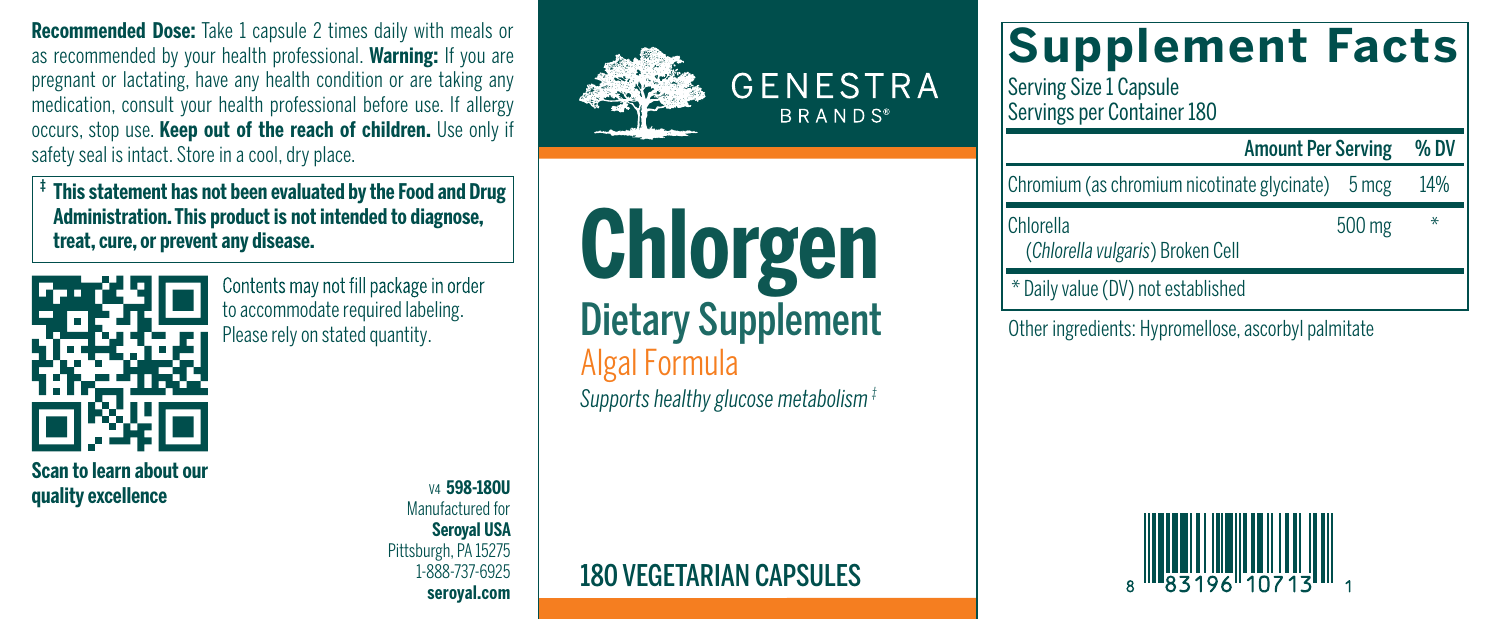**Recommended Dose:** Take 1 capsule 2 times daily with meals or as recommended by your health professional. **Warning:** If you are pregnant or lactating, have any health condition or are taking any medication, consult your health professional before use. If allergy occurs, stop use. **Keep out of the reach of children.** Use only if safety seal is intact. Store in a cool, dry place.

**‡ Thisstatement has not been evaluated by the Food and Drug Administration. This product is not intended to diagnose, treat, cure, or prevent any disease.**



**Scan to learn about our quality excellence**

Contents may not fill package in order to accommodate required labeling.

> V4 **598-180U**  Manufactured for **Seroyal USA** Pittsburgh, PA 15275 1-888-737-6925 **seroyal.com**



**Chlorgen** Dietary Supplement **Algal Formula** *Supports healthyglucose metabolism‡*

## 180 VEGETARIAN CAPSULES

## **Supplement Facts**

Serving Size 1 Capsule Servings per Container 180

## Amount Per Serving % DV

Chromium (as chromium nicotinate glycinate) 5 mcg 14%

Chlorella 500 mg \*

(*Chlorellavulgaris*) Broken Cell

\* Dailyvalue (DV) not established

Please rely on stated quantity. The Call **DIBLAT Y SUPPIBITIBITIC** Other ingredients: Hypromellose, ascorbyl palmitate